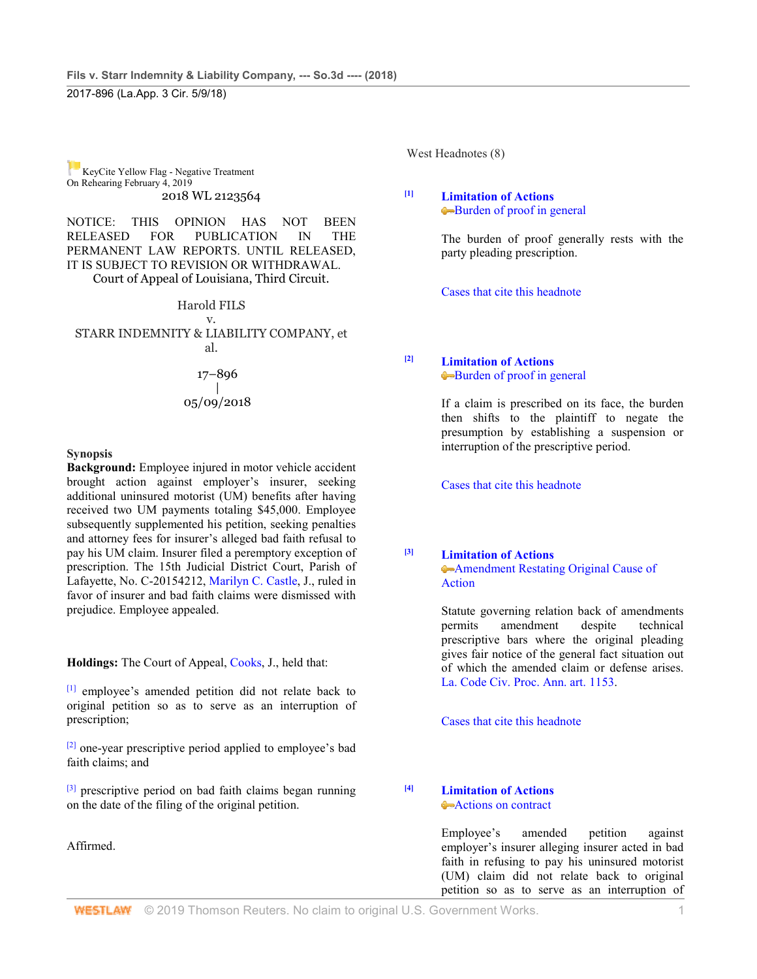KeyCite Yellow Flag - Negative Treatment On Rehearing February 4, 2019

# 2018 WL 2123564

NOTICE: THIS OPINION HAS NOT BEEN RELEASED FOR PUBLICATION IN THE PERMANENT LAW REPORTS. UNTIL RELEASED, IT IS SUBJECT TO REVISION OR WITHDRAWAL. Court of Appeal of Louisiana, Third Circuit.

Harold FILS v. STARR INDEMNITY & LIABILITY COMPANY, et al.

# 17–896 | 05/09/2018

#### **Synopsis**

**Background:** Employee injured in motor vehicle accident brought action against employer's insurer, seeking additional uninsured motorist (UM) benefits after having received two UM payments totaling \$45,000. Employee subsequently supplemented his petition, seeking penalties and attorney fees for insurer's alleged bad faith refusal to pay his UM claim. Insurer filed a peremptory exception of prescription. The 15th Judicial District Court, Parish of Lafayette, No. C-20154212, Marilyn C. Castle, J., ruled in favor of insurer and bad faith claims were dismissed with prejudice. Employee appealed.

**Holdings:** The Court of Appeal, Cooks, J., held that:

[1] employee's amended petition did not relate back to original petition so as to serve as an interruption of prescription;

[2] one-year prescriptive period applied to employee's bad faith claims; and

<sup>[3]</sup> prescriptive period on bad faith claims began running on the date of the filing of the original petition.

Affirmed.

West Headnotes (8)

# **[1] Limitation of Actions** Burden of proof in general

 The burden of proof generally rests with the party pleading prescription.

Cases that cite this headnote

# **[2] Limitation of Actions** Burden of proof in general

 If a claim is prescribed on its face, the burden then shifts to the plaintiff to negate the presumption by establishing a suspension or interruption of the prescriptive period.

Cases that cite this headnote

# **[3] Limitation of Actions**

# Amendment Restating Original Cause of Action

 Statute governing relation back of amendments permits amendment despite technical prescriptive bars where the original pleading gives fair notice of the general fact situation out of which the amended claim or defense arises. La. Code Civ. Proc. Ann. art. 1153.

Cases that cite this headnote

#### **[4] Limitation of Actions** Actions on contract

 Employee's amended petition against employer's insurer alleging insurer acted in bad faith in refusing to pay his uninsured motorist (UM) claim did not relate back to original petition so as to serve as an interruption of

**WESTLAW** © 2019 Thomson Reuters. No claim to original U.S. Government Works. 1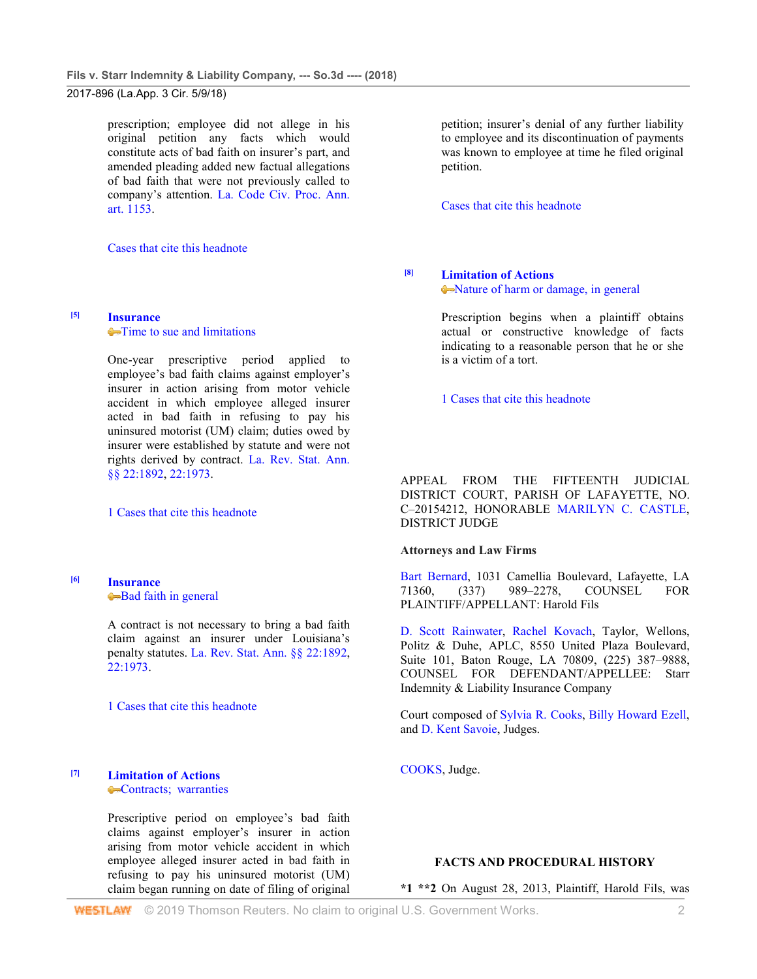prescription; employee did not allege in his original petition any facts which would constitute acts of bad faith on insurer's part, and amended pleading added new factual allegations of bad faith that were not previously called to company's attention. La. Code Civ. Proc. Ann. art. 1153.

Cases that cite this headnote

#### **[5] Insurance** Time to sue and limitations

 One-year prescriptive period applied to employee's bad faith claims against employer's insurer in action arising from motor vehicle accident in which employee alleged insurer acted in bad faith in refusing to pay his uninsured motorist (UM) claim; duties owed by insurer were established by statute and were not rights derived by contract. La. Rev. Stat. Ann. §§ 22:1892, 22:1973.

1 Cases that cite this headnote

#### **[6] Insurance Bad faith in general**

 A contract is not necessary to bring a bad faith claim against an insurer under Louisiana's penalty statutes. La. Rev. Stat. Ann. §§ 22:1892, 22:1973.

1 Cases that cite this headnote

# **[7] Limitation of Actions**

Contracts;  warranties

 Prescriptive period on employee's bad faith claims against employer's insurer in action arising from motor vehicle accident in which employee alleged insurer acted in bad faith in refusing to pay his uninsured motorist (UM) claim began running on date of filing of original

petition; insurer's denial of any further liability to employee and its discontinuation of payments was known to employee at time he filed original petition.

Cases that cite this headnote

# **[8] Limitation of Actions** Nature of harm or damage, in general

 Prescription begins when a plaintiff obtains actual or constructive knowledge of facts indicating to a reasonable person that he or she is a victim of a tort.

1 Cases that cite this headnote

APPEAL FROM THE FIFTEENTH JUDICIAL DISTRICT COURT, PARISH OF LAFAYETTE, NO. C–20154212, HONORABLE MARILYN C. CASTLE, DISTRICT JUDGE

#### **Attorneys and Law Firms**

Bart Bernard, 1031 Camellia Boulevard, Lafayette, LA 71360, (337) 989–2278, COUNSEL FOR PLAINTIFF/APPELLANT: Harold Fils

D. Scott Rainwater, Rachel Kovach, Taylor, Wellons, Politz & Duhe, APLC, 8550 United Plaza Boulevard, Suite 101, Baton Rouge, LA 70809, (225) 387–9888, COUNSEL FOR DEFENDANT/APPELLEE: Starr Indemnity & Liability Insurance Company

Court composed of Sylvia R. Cooks, Billy Howard Ezell, and D. Kent Savoie, Judges.

COOKS, Judge.

#### **FACTS AND PROCEDURAL HISTORY**

**\*1 \*\*2** On August 28, 2013, Plaintiff, Harold Fils, was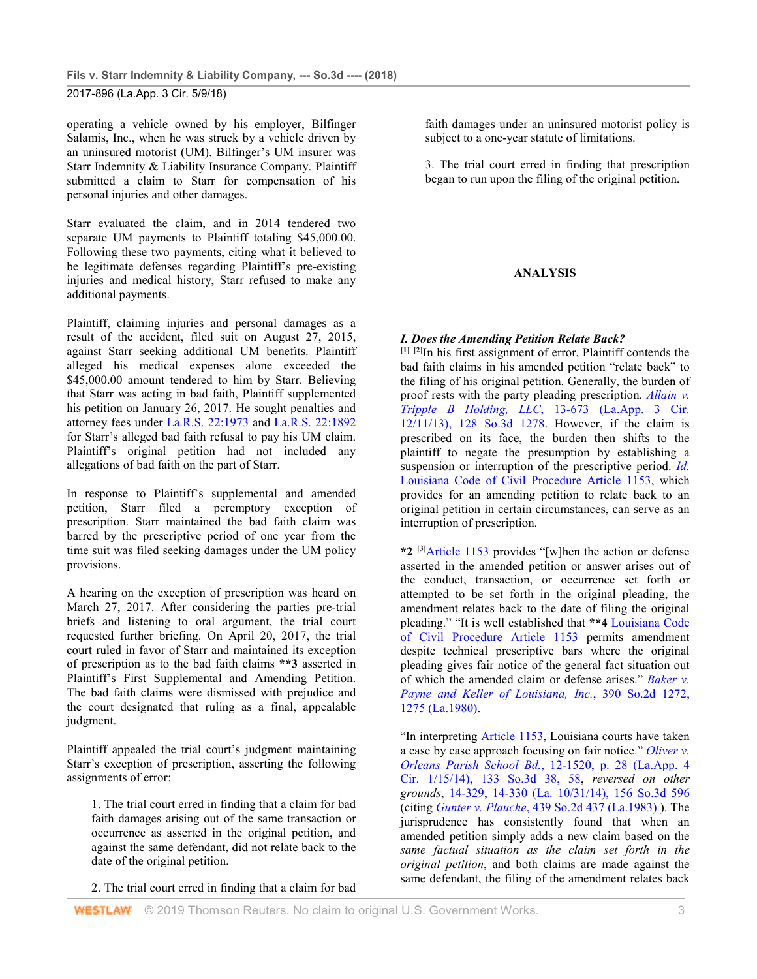operating a vehicle owned by his employer, Bilfinger Salamis, Inc., when he was struck by a vehicle driven by an uninsured motorist (UM). Bilfinger's UM insurer was Starr Indemnity & Liability Insurance Company. Plaintiff submitted a claim to Starr for compensation of his personal injuries and other damages.

Starr evaluated the claim, and in 2014 tendered two separate UM payments to Plaintiff totaling \$45,000.00. Following these two payments, citing what it believed to be legitimate defenses regarding Plaintiff's pre-existing injuries and medical history, Starr refused to make any additional payments.

Plaintiff, claiming injuries and personal damages as a result of the accident, filed suit on August 27, 2015, against Starr seeking additional UM benefits. Plaintiff alleged his medical expenses alone exceeded the \$45,000.00 amount tendered to him by Starr. Believing that Starr was acting in bad faith, Plaintiff supplemented his petition on January 26, 2017. He sought penalties and attorney fees under La.R.S. 22:1973 and La.R.S. 22:1892 for Starr's alleged bad faith refusal to pay his UM claim. Plaintiff's original petition had not included any allegations of bad faith on the part of Starr.

In response to Plaintiff's supplemental and amended petition, Starr filed a peremptory exception of prescription. Starr maintained the bad faith claim was barred by the prescriptive period of one year from the time suit was filed seeking damages under the UM policy provisions.

A hearing on the exception of prescription was heard on March 27, 2017. After considering the parties pre-trial briefs and listening to oral argument, the trial court requested further briefing. On April 20, 2017, the trial court ruled in favor of Starr and maintained its exception of prescription as to the bad faith claims **\*\*3** asserted in Plaintiff's First Supplemental and Amending Petition. The bad faith claims were dismissed with prejudice and the court designated that ruling as a final, appealable judgment.

Plaintiff appealed the trial court's judgment maintaining Starr's exception of prescription, asserting the following assignments of error:

1. The trial court erred in finding that a claim for bad faith damages arising out of the same transaction or occurrence as asserted in the original petition, and against the same defendant, did not relate back to the date of the original petition.

2. The trial court erred in finding that a claim for bad

faith damages under an uninsured motorist policy is subject to a one-year statute of limitations.

3. The trial court erred in finding that prescription began to run upon the filing of the original petition.

#### **ANALYSIS**

#### *I. Does the Amending Petition Relate Back?*

**[1] [2]**In his first assignment of error, Plaintiff contends the bad faith claims in his amended petition "relate back" to the filing of his original petition. Generally, the burden of proof rests with the party pleading prescription. *Allain v. Tripple B Holding, LLC*, 13-673 (La.App. 3 Cir. 12/11/13), 128 So.3d 1278. However, if the claim is prescribed on its face, the burden then shifts to the plaintiff to negate the presumption by establishing a suspension or interruption of the prescriptive period. *Id.* Louisiana Code of Civil Procedure Article 1153, which provides for an amending petition to relate back to an original petition in certain circumstances, can serve as an interruption of prescription.

**\*2 [3]**Article 1153 provides "[w]hen the action or defense asserted in the amended petition or answer arises out of the conduct, transaction, or occurrence set forth or attempted to be set forth in the original pleading, the amendment relates back to the date of filing the original pleading." "It is well established that **\*\*4** Louisiana Code of Civil Procedure Article 1153 permits amendment despite technical prescriptive bars where the original pleading gives fair notice of the general fact situation out of which the amended claim or defense arises." *Baker v. Payne and Keller of Louisiana, Inc.*, 390 So.2d 1272, 1275 (La.1980).

"In interpreting Article 1153, Louisiana courts have taken a case by case approach focusing on fair notice." *Oliver v. Orleans Parish School Bd.*, 12-1520, p. 28 (La.App. 4 Cir. 1/15/14), 133 So.3d 38, 58, *reversed on other grounds*, 14-329, 14-330 (La. 10/31/14), 156 So.3d 596 (citing *Gunter v. Plauche*, 439 So.2d 437 (La.1983) ). The jurisprudence has consistently found that when an amended petition simply adds a new claim based on the *same factual situation as the claim set forth in the original petition*, and both claims are made against the same defendant, the filing of the amendment relates back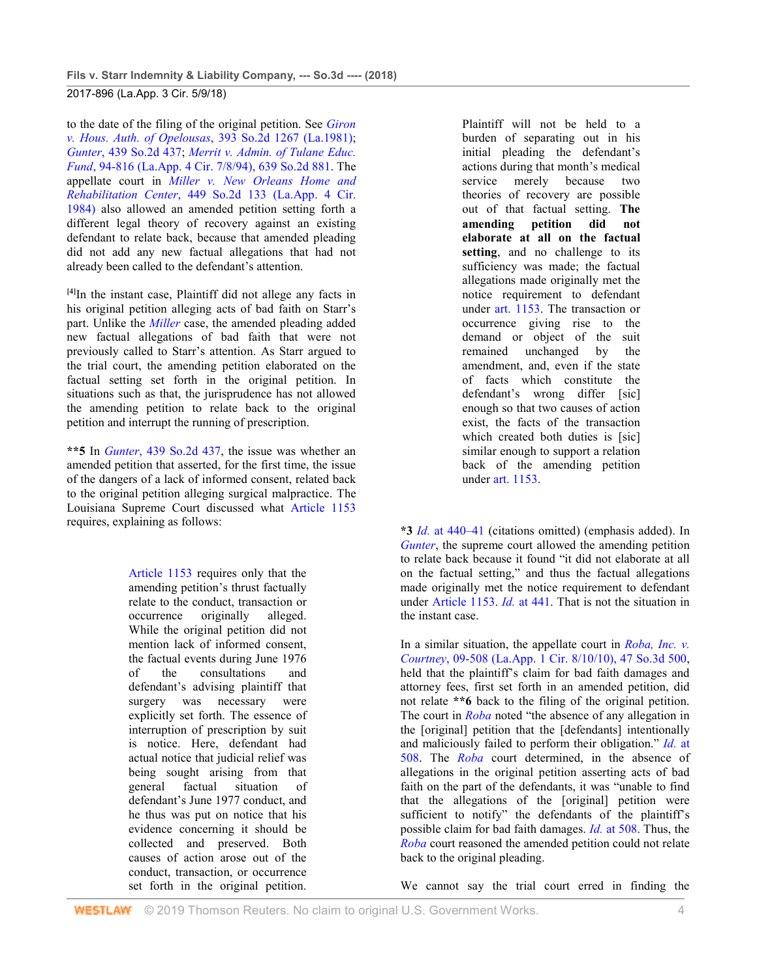to the date of the filing of the original petition. See *Giron v. Hous. Auth. of Opelousas*, 393 So.2d 1267 (La.1981); *Gunter*, 439 So.2d 437; *Merrit v. Admin. of Tulane Educ. Fund*, 94-816 (La.App. 4 Cir. 7/8/94), 639 So.2d 881. The appellate court in *Miller v. New Orleans Home and Rehabilitation Center*, 449 So.2d 133 (La.App. 4 Cir. 1984) also allowed an amended petition setting forth a different legal theory of recovery against an existing defendant to relate back, because that amended pleading did not add any new factual allegations that had not already been called to the defendant's attention.

**[4]**In the instant case, Plaintiff did not allege any facts in his original petition alleging acts of bad faith on Starr's part. Unlike the *Miller* case, the amended pleading added new factual allegations of bad faith that were not previously called to Starr's attention. As Starr argued to the trial court, the amending petition elaborated on the factual setting set forth in the original petition. In situations such as that, the jurisprudence has not allowed the amending petition to relate back to the original petition and interrupt the running of prescription.

**\*\*5** In *Gunter*, 439 So.2d 437, the issue was whether an amended petition that asserted, for the first time, the issue of the dangers of a lack of informed consent, related back to the original petition alleging surgical malpractice. The Louisiana Supreme Court discussed what Article 1153 requires, explaining as follows:

> Article 1153 requires only that the amending petition's thrust factually relate to the conduct, transaction or occurrence originally alleged. While the original petition did not mention lack of informed consent, the factual events during June 1976 of the consultations and defendant's advising plaintiff that surgery was necessary were explicitly set forth. The essence of interruption of prescription by suit is notice. Here, defendant had actual notice that judicial relief was being sought arising from that general factual situation of defendant's June 1977 conduct, and he thus was put on notice that his evidence concerning it should be collected and preserved. Both causes of action arose out of the conduct, transaction, or occurrence set forth in the original petition.

Plaintiff will not be held to a burden of separating out in his initial pleading the defendant's actions during that month's medical service merely because two theories of recovery are possible out of that factual setting. **The amending petition did not elaborate at all on the factual setting**, and no challenge to its sufficiency was made; the factual allegations made originally met the notice requirement to defendant under art. 1153. The transaction or occurrence giving rise to the demand or object of the suit remained unchanged by the amendment, and, even if the state of facts which constitute the defendant's wrong differ [sic] enough so that two causes of action exist, the facts of the transaction which created both duties is [sic] similar enough to support a relation back of the amending petition under art. 1153.

**\*3** *Id.* at 440–41 (citations omitted) (emphasis added). In *Gunter*, the supreme court allowed the amending petition to relate back because it found "it did not elaborate at all on the factual setting," and thus the factual allegations made originally met the notice requirement to defendant under Article 1153. *Id.* at 441. That is not the situation in the instant case.

In a similar situation, the appellate court in *Roba, Inc. v. Courtney*, 09-508 (La.App. 1 Cir. 8/10/10), 47 So.3d 500, held that the plaintiff's claim for bad faith damages and attorney fees, first set forth in an amended petition, did not relate **\*\*6** back to the filing of the original petition. The court in *Roba* noted "the absence of any allegation in the [original] petition that the [defendants] intentionally and maliciously failed to perform their obligation." *Id.* at 508. The *Roba* court determined, in the absence of allegations in the original petition asserting acts of bad faith on the part of the defendants, it was "unable to find that the allegations of the [original] petition were sufficient to notify" the defendants of the plaintiff's possible claim for bad faith damages. *Id.* at 508. Thus, the *Roba* court reasoned the amended petition could not relate back to the original pleading.

We cannot say the trial court erred in finding the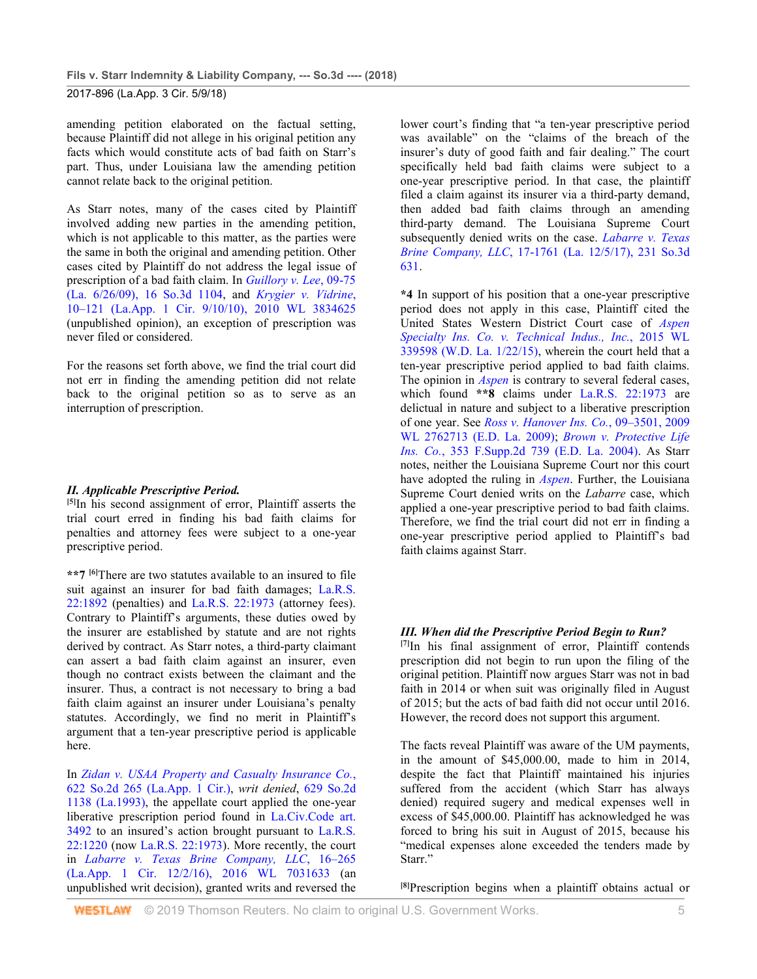amending petition elaborated on the factual setting, because Plaintiff did not allege in his original petition any facts which would constitute acts of bad faith on Starr's part. Thus, under Louisiana law the amending petition cannot relate back to the original petition.

As Starr notes, many of the cases cited by Plaintiff involved adding new parties in the amending petition, which is not applicable to this matter, as the parties were the same in both the original and amending petition. Other cases cited by Plaintiff do not address the legal issue of prescription of a bad faith claim. In *Guillory v. Lee*, 09-75 (La. 6/26/09), 16 So.3d 1104, and *Krygier v. Vidrine*, 10–121 (La.App. 1 Cir. 9/10/10), 2010 WL 3834625 (unpublished opinion), an exception of prescription was never filed or considered.

For the reasons set forth above, we find the trial court did not err in finding the amending petition did not relate back to the original petition so as to serve as an interruption of prescription.

## *II. Applicable Prescriptive Period.*

**[5]**In his second assignment of error, Plaintiff asserts the trial court erred in finding his bad faith claims for penalties and attorney fees were subject to a one-year prescriptive period.

**\*\*7 [6]**There are two statutes available to an insured to file suit against an insurer for bad faith damages; La.R.S.  $22:1892$  (penalties) and La.R.S.  $22:1973$  (attorney fees). Contrary to Plaintiff's arguments, these duties owed by the insurer are established by statute and are not rights derived by contract. As Starr notes, a third-party claimant can assert a bad faith claim against an insurer, even though no contract exists between the claimant and the insurer. Thus, a contract is not necessary to bring a bad faith claim against an insurer under Louisiana's penalty statutes. Accordingly, we find no merit in Plaintiff's argument that a ten-year prescriptive period is applicable here.

In *Zidan v. USAA Property and Casualty Insurance Co.*, 622 So.2d 265 (La.App. 1 Cir.), *writ denied*, 629 So.2d 1138 (La.1993), the appellate court applied the one-year liberative prescription period found in La.Civ.Code art. 3492 to an insured's action brought pursuant to La.R.S. 22:1220 (now La.R.S. 22:1973). More recently, the court in *Labarre v. Texas Brine Company, LLC*, 16–265 (La.App. 1 Cir. 12/2/16), 2016 WL 7031633 (an unpublished writ decision), granted writs and reversed the

lower court's finding that "a ten-year prescriptive period was available" on the "claims of the breach of the insurer's duty of good faith and fair dealing." The court specifically held bad faith claims were subject to a one-year prescriptive period. In that case, the plaintiff filed a claim against its insurer via a third-party demand, then added bad faith claims through an amending third-party demand. The Louisiana Supreme Court subsequently denied writs on the case. *Labarre v. Texas Brine Company, LLC*, 17-1761 (La. 12/5/17), 231 So.3d 631.

**\*4** In support of his position that a one-year prescriptive period does not apply in this case, Plaintiff cited the United States Western District Court case of *Aspen Specialty Ins. Co. v. Technical Indus., Inc.*, 2015 WL 339598 (W.D. La. 1/22/15), wherein the court held that a ten-year prescriptive period applied to bad faith claims. The opinion in *Aspen* is contrary to several federal cases, which found **\*\*8** claims under La.R.S. 22:1973 are delictual in nature and subject to a liberative prescription of one year. See *Ross v. Hanover Ins. Co.*, 09–3501, 2009 WL 2762713 (E.D. La. 2009); *Brown v. Protective Life Ins. Co.*, 353 F.Supp.2d 739 (E.D. La. 2004). As Starr notes, neither the Louisiana Supreme Court nor this court have adopted the ruling in *Aspen*. Further, the Louisiana Supreme Court denied writs on the *Labarre* case, which applied a one-year prescriptive period to bad faith claims. Therefore, we find the trial court did not err in finding a one-year prescriptive period applied to Plaintiff's bad faith claims against Starr.

# *III. When did the Prescriptive Period Begin to Run?*

**[7]**In his final assignment of error, Plaintiff contends prescription did not begin to run upon the filing of the original petition. Plaintiff now argues Starr was not in bad faith in 2014 or when suit was originally filed in August of 2015; but the acts of bad faith did not occur until 2016. However, the record does not support this argument.

The facts reveal Plaintiff was aware of the UM payments, in the amount of \$45,000.00, made to him in 2014, despite the fact that Plaintiff maintained his injuries suffered from the accident (which Starr has always denied) required sugery and medical expenses well in excess of \$45,000.00. Plaintiff has acknowledged he was forced to bring his suit in August of 2015, because his "medical expenses alone exceeded the tenders made by Starr."

**[8]**Prescription begins when a plaintiff obtains actual or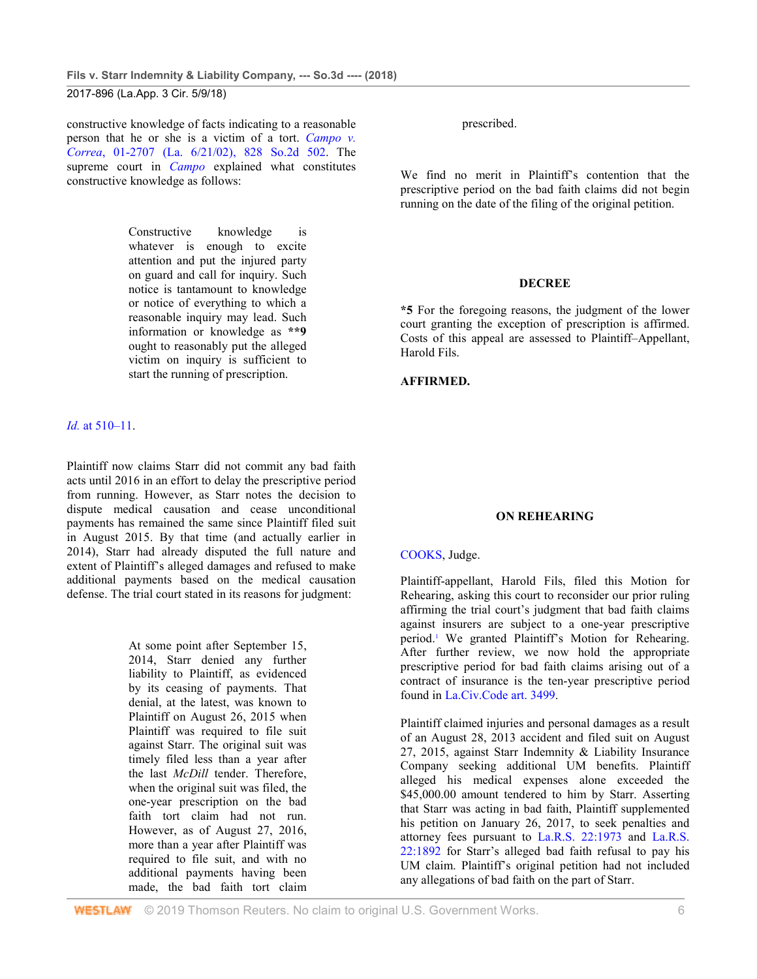constructive knowledge of facts indicating to a reasonable person that he or she is a victim of a tort. *Campo v. Correa*, 01-2707 (La. 6/21/02), 828 So.2d 502. The supreme court in *Campo* explained what constitutes constructive knowledge as follows:

> Constructive knowledge is whatever is enough to excite attention and put the injured party on guard and call for inquiry. Such notice is tantamount to knowledge or notice of everything to which a reasonable inquiry may lead. Such information or knowledge as **\*\*9** ought to reasonably put the alleged victim on inquiry is sufficient to start the running of prescription.

*Id.* at 510–11.

Plaintiff now claims Starr did not commit any bad faith acts until 2016 in an effort to delay the prescriptive period from running. However, as Starr notes the decision to dispute medical causation and cease unconditional payments has remained the same since Plaintiff filed suit in August 2015. By that time (and actually earlier in 2014), Starr had already disputed the full nature and extent of Plaintiff's alleged damages and refused to make additional payments based on the medical causation defense. The trial court stated in its reasons for judgment:

> At some point after September 15, 2014, Starr denied any further liability to Plaintiff, as evidenced by its ceasing of payments. That denial, at the latest, was known to Plaintiff on August 26, 2015 when Plaintiff was required to file suit against Starr. The original suit was timely filed less than a year after the last *McDill* tender. Therefore, when the original suit was filed, the one-year prescription on the bad faith tort claim had not run. However, as of August 27, 2016, more than a year after Plaintiff was required to file suit, and with no additional payments having been made, the bad faith tort claim

prescribed.

We find no merit in Plaintiff's contention that the prescriptive period on the bad faith claims did not begin running on the date of the filing of the original petition.

#### **DECREE**

**\*5** For the foregoing reasons, the judgment of the lower court granting the exception of prescription is affirmed. Costs of this appeal are assessed to Plaintiff–Appellant, Harold Fils.

# **AFFIRMED.**

# **ON REHEARING**

COOKS, Judge.

Plaintiff-appellant, Harold Fils, filed this Motion for Rehearing, asking this court to reconsider our prior ruling affirming the trial court's judgment that bad faith claims against insurers are subject to a one-year prescriptive period.1 We granted Plaintiff's Motion for Rehearing. After further review, we now hold the appropriate prescriptive period for bad faith claims arising out of a contract of insurance is the ten-year prescriptive period found in La.Civ.Code art. 3499.

Plaintiff claimed injuries and personal damages as a result of an August 28, 2013 accident and filed suit on August 27, 2015, against Starr Indemnity & Liability Insurance Company seeking additional UM benefits. Plaintiff alleged his medical expenses alone exceeded the \$45,000.00 amount tendered to him by Starr. Asserting that Starr was acting in bad faith, Plaintiff supplemented his petition on January 26, 2017, to seek penalties and attorney fees pursuant to La.R.S. 22:1973 and La.R.S. 22:1892 for Starr's alleged bad faith refusal to pay his UM claim. Plaintiff's original petition had not included any allegations of bad faith on the part of Starr.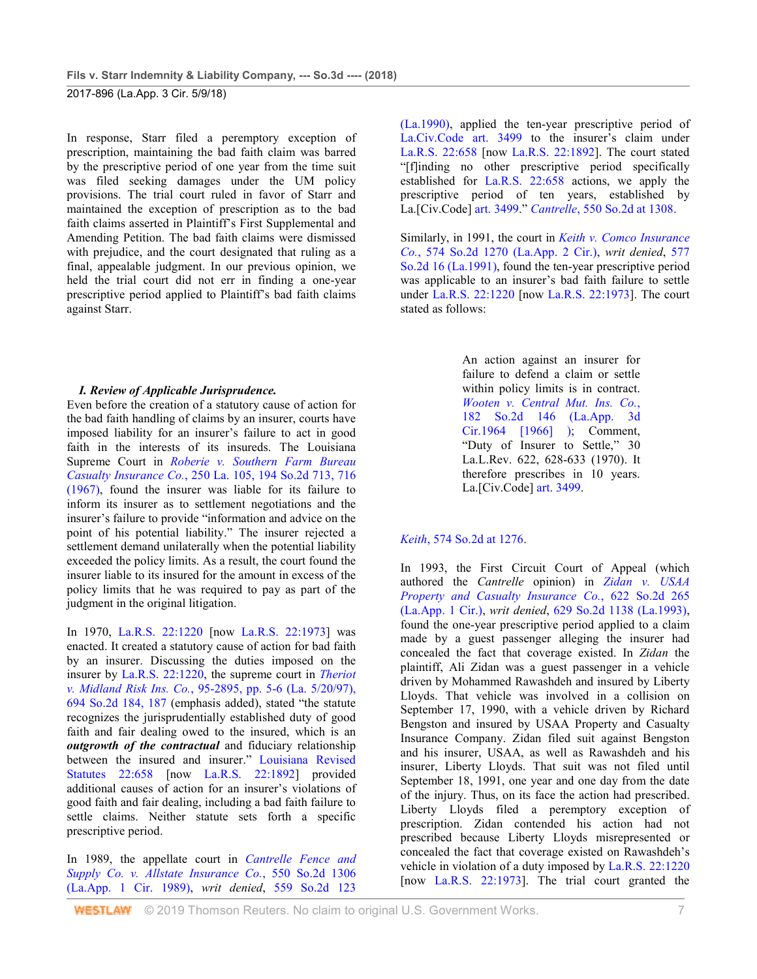In response, Starr filed a peremptory exception of prescription, maintaining the bad faith claim was barred by the prescriptive period of one year from the time suit was filed seeking damages under the UM policy provisions. The trial court ruled in favor of Starr and maintained the exception of prescription as to the bad faith claims asserted in Plaintiff's First Supplemental and Amending Petition. The bad faith claims were dismissed with prejudice, and the court designated that ruling as a final, appealable judgment. In our previous opinion, we held the trial court did not err in finding a one-year prescriptive period applied to Plaintiff's bad faith claims against Starr.

# *I. Review of Applicable Jurisprudence.*

Even before the creation of a statutory cause of action for the bad faith handling of claims by an insurer, courts have imposed liability for an insurer's failure to act in good faith in the interests of its insureds. The Louisiana Supreme Court in *Roberie v. Southern Farm Bureau Casualty Insurance Co.*, 250 La. 105, 194 So.2d 713, 716 (1967), found the insurer was liable for its failure to inform its insurer as to settlement negotiations and the insurer's failure to provide "information and advice on the point of his potential liability." The insurer rejected a settlement demand unilaterally when the potential liability exceeded the policy limits. As a result, the court found the insurer liable to its insured for the amount in excess of the policy limits that he was required to pay as part of the judgment in the original litigation.

In 1970, La.R.S. 22:1220 [now La.R.S. 22:1973] was enacted. It created a statutory cause of action for bad faith by an insurer. Discussing the duties imposed on the insurer by La.R.S. 22:1220, the supreme court in *Theriot v. Midland Risk Ins. Co.*, 95-2895, pp. 5-6 (La. 5/20/97), 694 So.2d 184, 187 (emphasis added), stated "the statute recognizes the jurisprudentially established duty of good faith and fair dealing owed to the insured, which is an *outgrowth of the contractual* and fiduciary relationship between the insured and insurer." Louisiana Revised Statutes 22:658 [now La.R.S. 22:1892] provided additional causes of action for an insurer's violations of good faith and fair dealing, including a bad faith failure to settle claims. Neither statute sets forth a specific prescriptive period.

In 1989, the appellate court in *Cantrelle Fence and Supply Co. v. Allstate Insurance Co.*, 550 So.2d 1306 (La.App. 1 Cir. 1989), *writ denied*, 559 So.2d 123

(La.1990), applied the ten-year prescriptive period of La.Civ.Code art. 3499 to the insurer's claim under La.R.S. 22:658 [now La.R.S. 22:1892]. The court stated "[f]inding no other prescriptive period specifically established for La.R.S. 22:658 actions, we apply the prescriptive period of ten years, established by La.[Civ.Code] art. 3499." *Cantrelle*, 550 So.2d at 1308.

Similarly, in 1991, the court in *Keith v. Comco Insurance Co.*, 574 So.2d 1270 (La.App. 2 Cir.), *writ denied*, 577 So.2d 16 (La.1991), found the ten-year prescriptive period was applicable to an insurer's bad faith failure to settle under La.R.S. 22:1220 [now La.R.S. 22:1973]. The court stated as follows:

> An action against an insurer for failure to defend a claim or settle within policy limits is in contract. *Wooten v. Central Mut. Ins. Co.*, 182 So.2d 146 (La.App. 3d Cir.1964 [1966] ); Comment, "Duty of Insurer to Settle," 30 La.L.Rev. 622, 628-633 (1970). It therefore prescribes in 10 years. La.[Civ.Code] art. 3499.

# *Keith*, 574 So.2d at 1276.

In 1993, the First Circuit Court of Appeal (which authored the *Cantrelle* opinion) in *Zidan v. USAA Property and Casualty Insurance Co.*, 622 So.2d 265 (La.App. 1 Cir.), *writ denied*, 629 So.2d 1138 (La.1993), found the one-year prescriptive period applied to a claim made by a guest passenger alleging the insurer had concealed the fact that coverage existed. In *Zidan* the plaintiff, Ali Zidan was a guest passenger in a vehicle driven by Mohammed Rawashdeh and insured by Liberty Lloyds. That vehicle was involved in a collision on September 17, 1990, with a vehicle driven by Richard Bengston and insured by USAA Property and Casualty Insurance Company. Zidan filed suit against Bengston and his insurer, USAA, as well as Rawashdeh and his insurer, Liberty Lloyds. That suit was not filed until September 18, 1991, one year and one day from the date of the injury. Thus, on its face the action had prescribed. Liberty Lloyds filed a peremptory exception of prescription. Zidan contended his action had not prescribed because Liberty Lloyds misrepresented or concealed the fact that coverage existed on Rawashdeh's vehicle in violation of a duty imposed by La.R.S. 22:1220 [now La.R.S. 22:1973]. The trial court granted the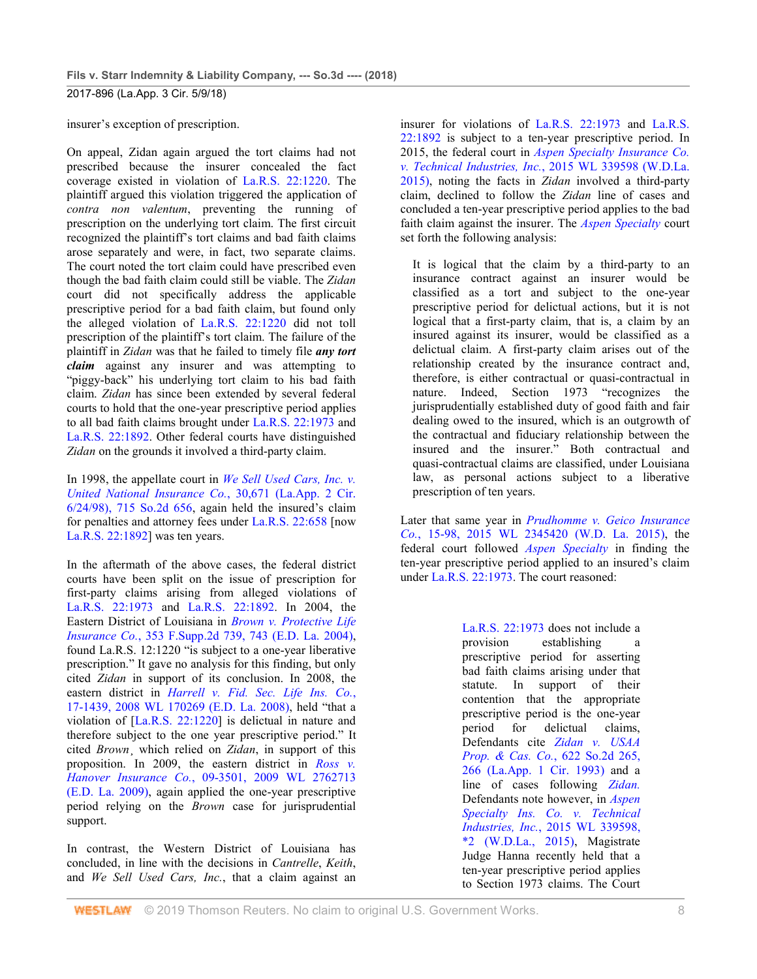insurer's exception of prescription.

On appeal, Zidan again argued the tort claims had not prescribed because the insurer concealed the fact coverage existed in violation of La.R.S. 22:1220. The plaintiff argued this violation triggered the application of *contra non valentum*, preventing the running of prescription on the underlying tort claim. The first circuit recognized the plaintiff's tort claims and bad faith claims arose separately and were, in fact, two separate claims. The court noted the tort claim could have prescribed even though the bad faith claim could still be viable. The *Zidan* court did not specifically address the applicable prescriptive period for a bad faith claim, but found only the alleged violation of La.R.S. 22:1220 did not toll prescription of the plaintiff's tort claim. The failure of the plaintiff in *Zidan* was that he failed to timely file *any tort claim* against any insurer and was attempting to "piggy-back" his underlying tort claim to his bad faith claim. *Zidan* has since been extended by several federal courts to hold that the one-year prescriptive period applies to all bad faith claims brought under La.R.S. 22:1973 and La.R.S. 22:1892. Other federal courts have distinguished *Zidan* on the grounds it involved a third-party claim.

In 1998, the appellate court in *We Sell Used Cars, Inc. v. United National Insurance Co.*, 30,671 (La.App. 2 Cir. 6/24/98), 715 So.2d 656, again held the insured's claim for penalties and attorney fees under La.R.S. 22:658 [now La.R.S. 22:1892] was ten years.

In the aftermath of the above cases, the federal district courts have been split on the issue of prescription for first-party claims arising from alleged violations of La.R.S. 22:1973 and La.R.S. 22:1892. In 2004, the Eastern District of Louisiana in *Brown v. Protective Life Insurance Co.*, 353 F.Supp.2d 739, 743 (E.D. La. 2004), found La.R.S. 12:1220 "is subject to a one-year liberative prescription." It gave no analysis for this finding, but only cited *Zidan* in support of its conclusion. In 2008, the eastern district in *Harrell v. Fid. Sec. Life Ins. Co.*, 17-1439, 2008 WL 170269 (E.D. La. 2008), held "that a violation of [La.R.S. 22:1220] is delictual in nature and therefore subject to the one year prescriptive period." It cited *Brown*¸ which relied on *Zidan*, in support of this proposition. In 2009, the eastern district in *Ross v. Hanover Insurance Co.*, 09-3501, 2009 WL 2762713 (E.D. La. 2009), again applied the one-year prescriptive period relying on the *Brown* case for jurisprudential support.

In contrast, the Western District of Louisiana has concluded, in line with the decisions in *Cantrelle*, *Keith*, and *We Sell Used Cars, Inc.*, that a claim against an

insurer for violations of La.R.S. 22:1973 and La.R.S. 22:1892 is subject to a ten-year prescriptive period. In 2015, the federal court in *Aspen Specialty Insurance Co. v. Technical Industries, Inc.*, 2015 WL 339598 (W.D.La. 2015), noting the facts in *Zidan* involved a third-party claim, declined to follow the *Zidan* line of cases and concluded a ten-year prescriptive period applies to the bad faith claim against the insurer. The *Aspen Specialty* court set forth the following analysis:

It is logical that the claim by a third-party to an insurance contract against an insurer would be classified as a tort and subject to the one-year prescriptive period for delictual actions, but it is not logical that a first-party claim, that is, a claim by an insured against its insurer, would be classified as a delictual claim. A first-party claim arises out of the relationship created by the insurance contract and, therefore, is either contractual or quasi-contractual in nature. Indeed, Section 1973 "recognizes the jurisprudentially established duty of good faith and fair dealing owed to the insured, which is an outgrowth of the contractual and fiduciary relationship between the insured and the insurer." Both contractual and quasi-contractual claims are classified, under Louisiana law, as personal actions subject to a liberative prescription of ten years.

Later that same year in *Prudhomme v. Geico Insurance Co.*, 15-98, 2015 WL 2345420 (W.D. La. 2015), the federal court followed *Aspen Specialty* in finding the ten-year prescriptive period applied to an insured's claim under La.R.S. 22:1973. The court reasoned:

> La.R.S. 22:1973 does not include a provision establishing a prescriptive period for asserting bad faith claims arising under that statute. In support of their contention that the appropriate prescriptive period is the one-year period for delictual claims, Defendants cite *Zidan v. USAA Prop. & Cas. Co.*, 622 So.2d 265, 266 (La.App. 1 Cir. 1993) and a line of cases following *Zidan.* Defendants note however, in *Aspen Specialty Ins. Co. v. Technical Industries, Inc.*, 2015 WL 339598, \*2 (W.D.La., 2015), Magistrate Judge Hanna recently held that a ten-year prescriptive period applies to Section 1973 claims. The Court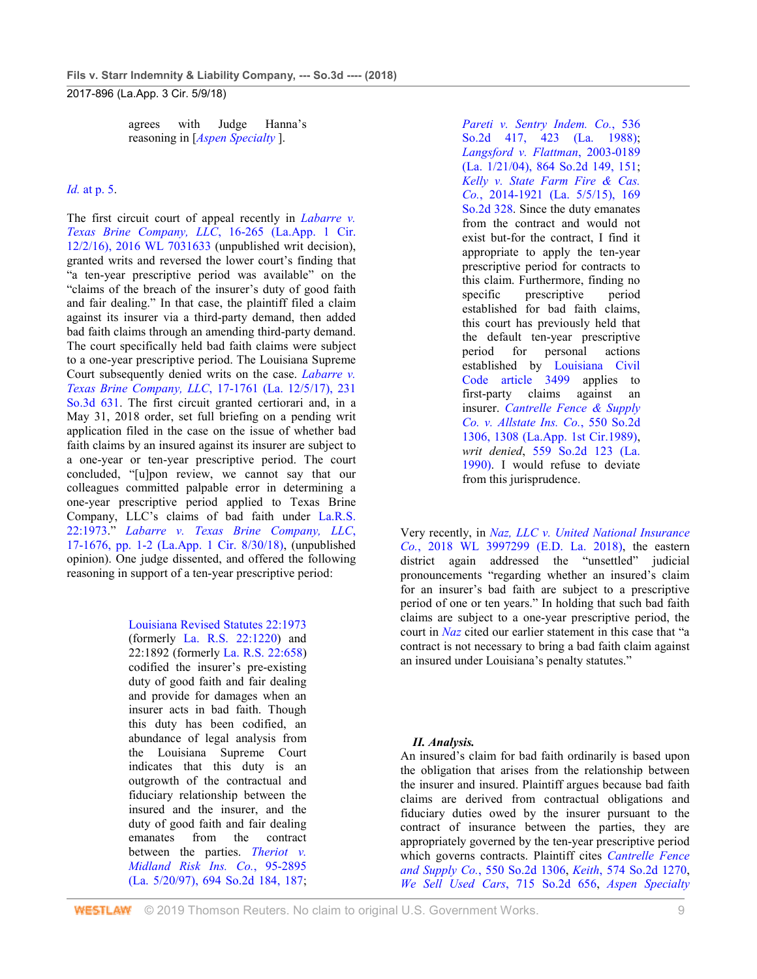agrees with Judge Hanna's reasoning in [*Aspen Specialty* ].

## *Id.* at p. 5.

The first circuit court of appeal recently in *Labarre v. Texas Brine Company, LLC*, 16-265 (La.App. 1 Cir. 12/2/16), 2016 WL 7031633 (unpublished writ decision), granted writs and reversed the lower court's finding that "a ten-year prescriptive period was available" on the "claims of the breach of the insurer's duty of good faith and fair dealing." In that case, the plaintiff filed a claim against its insurer via a third-party demand, then added bad faith claims through an amending third-party demand. The court specifically held bad faith claims were subject to a one-year prescriptive period. The Louisiana Supreme Court subsequently denied writs on the case. *Labarre v. Texas Brine Company, LLC*, 17-1761 (La. 12/5/17), 231 So.3d 631. The first circuit granted certiorari and, in a May 31, 2018 order, set full briefing on a pending writ application filed in the case on the issue of whether bad faith claims by an insured against its insurer are subject to a one-year or ten-year prescriptive period. The court concluded, "[u]pon review, we cannot say that our colleagues committed palpable error in determining a one-year prescriptive period applied to Texas Brine Company, LLC's claims of bad faith under La.R.S. 22:1973." *Labarre v. Texas Brine Company, LLC*, 17-1676, pp. 1-2 (La.App. 1 Cir. 8/30/18), (unpublished opinion). One judge dissented, and offered the following reasoning in support of a ten-year prescriptive period:

> Louisiana Revised Statutes 22:1973 (formerly La. R.S. 22:1220) and 22:1892 (formerly La. R.S. 22:658) codified the insurer's pre-existing duty of good faith and fair dealing and provide for damages when an insurer acts in bad faith. Though this duty has been codified, an abundance of legal analysis from the Louisiana Supreme Court indicates that this duty is an outgrowth of the contractual and fiduciary relationship between the insured and the insurer, and the duty of good faith and fair dealing emanates from the contract between the parties. *Theriot v. Midland Risk Ins. Co.*, 95-2895 (La. 5/20/97), 694 So.2d 184, 187;

*Pareti v. Sentry Indem. Co.*, 536 So.2d 417, 423 (La. 1988); *Langsford v. Flattman*, 2003-0189 (La. 1/21/04), 864 So.2d 149, 151; *Kelly v. State Farm Fire & Cas. Co.*, 2014-1921 (La. 5/5/15), 169 So.2d 328. Since the duty emanates from the contract and would not exist but-for the contract, I find it appropriate to apply the ten-year prescriptive period for contracts to this claim. Furthermore, finding no specific prescriptive period established for bad faith claims, this court has previously held that the default ten-year prescriptive period for personal actions established by Louisiana Civil Code article 3499 applies to first-party claims against an insurer. *Cantrelle Fence & Supply Co. v. Allstate Ins. Co.*, 550 So.2d 1306, 1308 (La.App. 1st Cir.1989), *writ denied*, 559 So.2d 123 (La. 1990). I would refuse to deviate from this jurisprudence.

Very recently, in *Naz, LLC v. United National Insurance Co.*, 2018 WL 3997299 (E.D. La. 2018), the eastern district again addressed the "unsettled" judicial pronouncements "regarding whether an insured's claim for an insurer's bad faith are subject to a prescriptive period of one or ten years." In holding that such bad faith claims are subject to a one-year prescriptive period, the court in *Naz* cited our earlier statement in this case that "a contract is not necessary to bring a bad faith claim against an insured under Louisiana's penalty statutes."

# *II. Analysis.*

An insured's claim for bad faith ordinarily is based upon the obligation that arises from the relationship between the insurer and insured. Plaintiff argues because bad faith claims are derived from contractual obligations and fiduciary duties owed by the insurer pursuant to the contract of insurance between the parties, they are appropriately governed by the ten-year prescriptive period which governs contracts. Plaintiff cites *Cantrelle Fence and Supply Co.*, 550 So.2d 1306, *Keith*, 574 So.2d 1270, *We Sell Used Cars*, 715 So.2d 656, *Aspen Specialty*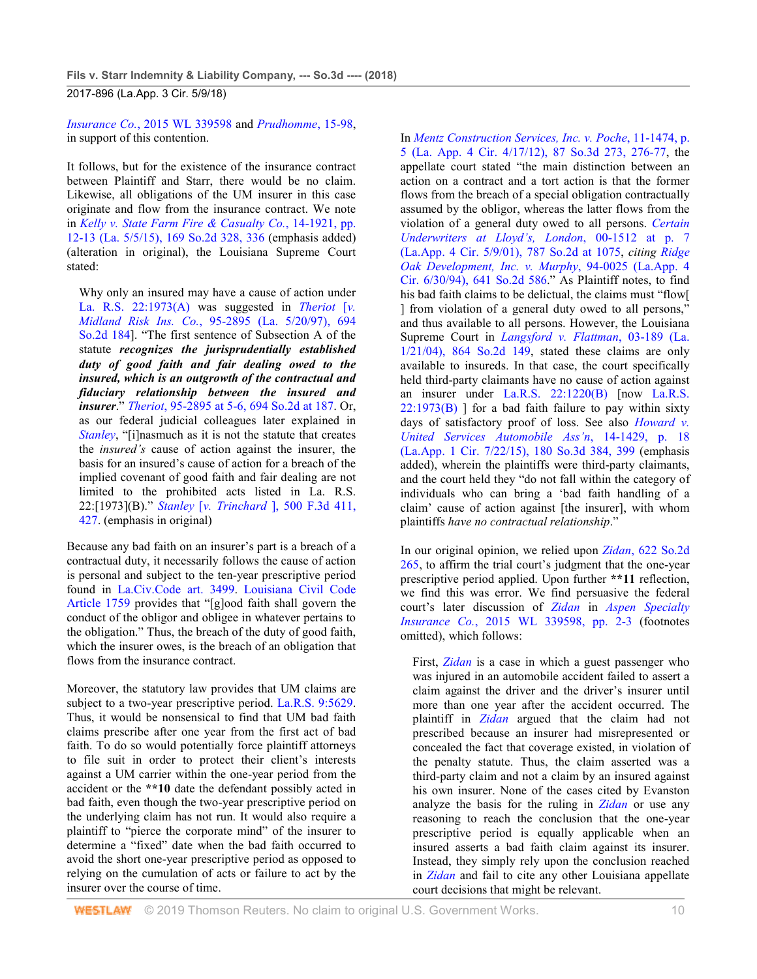*Insurance Co.*, 2015 WL 339598 and *Prudhomme*, 15-98, in support of this contention.

It follows, but for the existence of the insurance contract between Plaintiff and Starr, there would be no claim. Likewise, all obligations of the UM insurer in this case originate and flow from the insurance contract. We note in *Kelly v. State Farm Fire & Casualty Co.*, 14-1921, pp. 12-13 (La. 5/5/15), 169 So.2d 328, 336 (emphasis added) (alteration in original), the Louisiana Supreme Court stated:

Why only an insured may have a cause of action under La. R.S. 22:1973(A) was suggested in *Theriot* [*v. Midland Risk Ins. Co.*, 95-2895 (La. 5/20/97), 694 So.2d 184]. "The first sentence of Subsection A of the statute *recognizes the jurisprudentially established duty of good faith and fair dealing owed to the insured, which is an outgrowth of the contractual and fiduciary relationship between the insured and insurer*." *Theriot*, 95-2895 at 5-6, 694 So.2d at 187. Or, as our federal judicial colleagues later explained in *Stanley*, "[i]nasmuch as it is not the statute that creates the *insured's* cause of action against the insurer, the basis for an insured's cause of action for a breach of the implied covenant of good faith and fair dealing are not limited to the prohibited acts listed in La. R.S. 22:[1973](B)." *Stanley* [*v. Trinchard* ], 500 F.3d 411, 427. (emphasis in original)

Because any bad faith on an insurer's part is a breach of a contractual duty, it necessarily follows the cause of action is personal and subject to the ten-year prescriptive period found in La.Civ.Code art. 3499. Louisiana Civil Code Article 1759 provides that "[g]ood faith shall govern the conduct of the obligor and obligee in whatever pertains to the obligation." Thus, the breach of the duty of good faith, which the insurer owes, is the breach of an obligation that flows from the insurance contract.

Moreover, the statutory law provides that UM claims are subject to a two-year prescriptive period. La.R.S. 9:5629. Thus, it would be nonsensical to find that UM bad faith claims prescribe after one year from the first act of bad faith. To do so would potentially force plaintiff attorneys to file suit in order to protect their client's interests against a UM carrier within the one-year period from the accident or the **\*\*10** date the defendant possibly acted in bad faith, even though the two-year prescriptive period on the underlying claim has not run. It would also require a plaintiff to "pierce the corporate mind" of the insurer to determine a "fixed" date when the bad faith occurred to avoid the short one-year prescriptive period as opposed to relying on the cumulation of acts or failure to act by the insurer over the course of time.

In *Mentz Construction Services, Inc. v. Poche*, 11-1474, p. 5 (La. App. 4 Cir. 4/17/12), 87 So.3d 273, 276-77, the appellate court stated "the main distinction between an action on a contract and a tort action is that the former flows from the breach of a special obligation contractually assumed by the obligor, whereas the latter flows from the violation of a general duty owed to all persons. *Certain Underwriters at Lloyd's, London*, 00-1512 at p. 7 (La.App. 4 Cir. 5/9/01), 787 So.2d at 1075, *citing Ridge Oak Development, Inc. v. Murphy*, 94-0025 (La.App. 4 Cir. 6/30/94), 641 So.2d 586." As Plaintiff notes, to find his bad faith claims to be delictual, the claims must "flow[ ] from violation of a general duty owed to all persons," and thus available to all persons. However, the Louisiana Supreme Court in *Langsford v. Flattman*, 03-189 (La. 1/21/04), 864 So.2d 149, stated these claims are only available to insureds. In that case, the court specifically held third-party claimants have no cause of action against an insurer under La.R.S. 22:1220(B) [now La.R.S.  $22:1973(B)$  ] for a bad faith failure to pay within sixty days of satisfactory proof of loss. See also *Howard v. United Services Automobile Ass'n*, 14-1429, p. 18 (La.App. 1 Cir. 7/22/15), 180 So.3d 384, 399 (emphasis added), wherein the plaintiffs were third-party claimants, and the court held they "do not fall within the category of individuals who can bring a 'bad faith handling of a claim' cause of action against [the insurer], with whom plaintiffs *have no contractual relationship*."

In our original opinion, we relied upon *Zidan*, 622 So.2d 265, to affirm the trial court's judgment that the one-year prescriptive period applied. Upon further **\*\*11** reflection, we find this was error. We find persuasive the federal court's later discussion of *Zidan* in *Aspen Specialty Insurance Co.*, 2015 WL 339598, pp. 2-3 (footnotes omitted), which follows:

First, *Zidan* is a case in which a guest passenger who was injured in an automobile accident failed to assert a claim against the driver and the driver's insurer until more than one year after the accident occurred. The plaintiff in *Zidan* argued that the claim had not prescribed because an insurer had misrepresented or concealed the fact that coverage existed, in violation of the penalty statute. Thus, the claim asserted was a third-party claim and not a claim by an insured against his own insurer. None of the cases cited by Evanston analyze the basis for the ruling in *Zidan* or use any reasoning to reach the conclusion that the one-year prescriptive period is equally applicable when an insured asserts a bad faith claim against its insurer. Instead, they simply rely upon the conclusion reached in *Zidan* and fail to cite any other Louisiana appellate court decisions that might be relevant.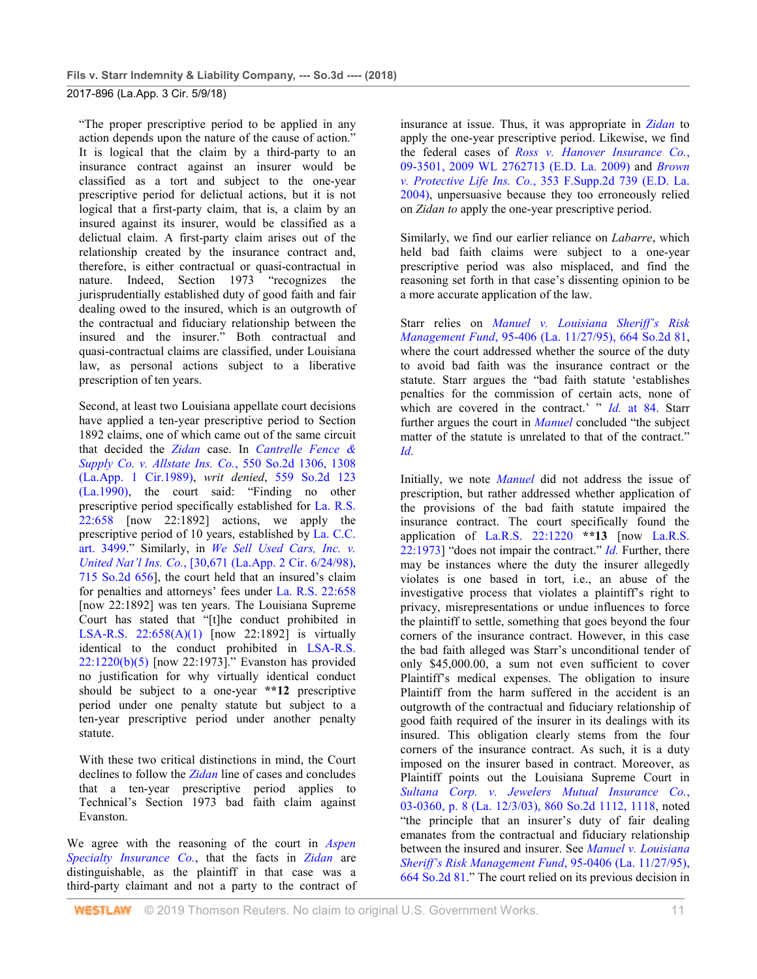"The proper prescriptive period to be applied in any action depends upon the nature of the cause of action." It is logical that the claim by a third-party to an insurance contract against an insurer would be classified as a tort and subject to the one-year prescriptive period for delictual actions, but it is not logical that a first-party claim, that is, a claim by an insured against its insurer, would be classified as a delictual claim. A first-party claim arises out of the relationship created by the insurance contract and, therefore, is either contractual or quasi-contractual in nature. Indeed, Section 1973 "recognizes the jurisprudentially established duty of good faith and fair dealing owed to the insured, which is an outgrowth of the contractual and fiduciary relationship between the insured and the insurer." Both contractual and quasi-contractual claims are classified, under Louisiana law, as personal actions subject to a liberative prescription of ten years.

Second, at least two Louisiana appellate court decisions have applied a ten-year prescriptive period to Section 1892 claims, one of which came out of the same circuit that decided the *Zidan* case. In *Cantrelle Fence & Supply Co. v. Allstate Ins. Co.*, 550 So.2d 1306, 1308 (La.App. 1 Cir.1989), *writ denied*, 559 So.2d 123 (La.1990), the court said: "Finding no other prescriptive period specifically established for La. R.S. 22:658 [now 22:1892] actions, we apply the prescriptive period of 10 years, established by La. C.C. art. 3499." Similarly, in *We Sell Used Cars, Inc. v. United Nat'l Ins. Co.*, [30,671 (La.App. 2 Cir. 6/24/98), 715 So.2d 656], the court held that an insured's claim for penalties and attorneys' fees under La. R.S. 22:658 [now 22:1892] was ten years. The Louisiana Supreme Court has stated that "[t]he conduct prohibited in LSA-R.S. 22:658(A)(1) [now 22:1892] is virtually identical to the conduct prohibited in LSA-R.S. 22:1220(b)(5) [now 22:1973]." Evanston has provided no justification for why virtually identical conduct should be subject to a one-year **\*\*12** prescriptive period under one penalty statute but subject to a ten-year prescriptive period under another penalty statute.

With these two critical distinctions in mind, the Court declines to follow the *Zidan* line of cases and concludes that a ten-year prescriptive period applies to Technical's Section 1973 bad faith claim against Evanston.

We agree with the reasoning of the court in *Aspen Specialty Insurance Co.*, that the facts in *Zidan* are distinguishable, as the plaintiff in that case was a third-party claimant and not a party to the contract of

insurance at issue. Thus, it was appropriate in *Zidan* to apply the one-year prescriptive period. Likewise, we find the federal cases of *Ross v. Hanover Insurance Co.*, 09-3501, 2009 WL 2762713 (E.D. La. 2009) and *Brown v. Protective Life Ins. Co.*, 353 F.Supp.2d 739 (E.D. La. 2004), unpersuasive because they too erroneously relied on *Zidan to* apply the one-year prescriptive period.

Similarly, we find our earlier reliance on *Labarre*, which held bad faith claims were subject to a one-year prescriptive period was also misplaced, and find the reasoning set forth in that case's dissenting opinion to be a more accurate application of the law.

Starr relies on *Manuel v. Louisiana Sheriff's Risk Management Fund*, 95-406 (La. 11/27/95), 664 So.2d 81, where the court addressed whether the source of the duty to avoid bad faith was the insurance contract or the statute. Starr argues the "bad faith statute 'establishes penalties for the commission of certain acts, none of which are covered in the contract.' " *Id.* at 84. Starr further argues the court in *Manuel* concluded "the subject matter of the statute is unrelated to that of the contract." *Id.*

Initially, we note *Manuel* did not address the issue of prescription, but rather addressed whether application of the provisions of the bad faith statute impaired the insurance contract. The court specifically found the application of La.R.S. 22:1220 **\*\*13** [now La.R.S. 22:1973] "does not impair the contract." *Id.* Further, there may be instances where the duty the insurer allegedly violates is one based in tort, i.e., an abuse of the investigative process that violates a plaintiff's right to privacy, misrepresentations or undue influences to force the plaintiff to settle, something that goes beyond the four corners of the insurance contract. However, in this case the bad faith alleged was Starr's unconditional tender of only \$45,000.00, a sum not even sufficient to cover Plaintiff's medical expenses. The obligation to insure Plaintiff from the harm suffered in the accident is an outgrowth of the contractual and fiduciary relationship of good faith required of the insurer in its dealings with its insured. This obligation clearly stems from the four corners of the insurance contract. As such, it is a duty imposed on the insurer based in contract. Moreover, as Plaintiff points out the Louisiana Supreme Court in *Sultana Corp. v. Jewelers Mutual Insurance Co.*, 03-0360, p. 8 (La. 12/3/03), 860 So.2d 1112, 1118, noted "the principle that an insurer's duty of fair dealing emanates from the contractual and fiduciary relationship between the insured and insurer. See *Manuel v. Louisiana Sheriff's Risk Management Fund*, 95-0406 (La. 11/27/95), 664 So.2d 81." The court relied on its previous decision in